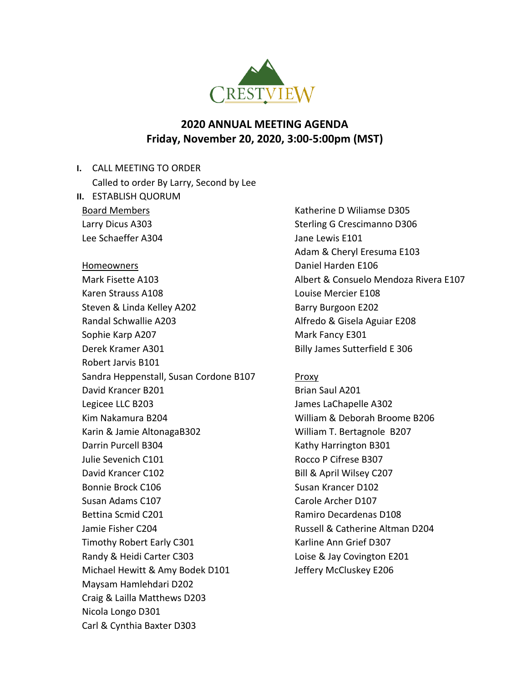

# **2020 ANNUAL MEETING AGENDA Friday, November 20, 2020, 3:00-5:00pm (MST)**

# **I.** CALL MEETING TO ORDER Called to order By Larry, Second by Lee **II.** ESTABLISH QUORUM Board Members Larry Dicus A303 Lee Schaeffer A304 Homeowners

Mark Fisette A103 Karen Strauss A108 Steven & Linda Kelley A202 Randal Schwallie A203 Sophie Karp A207 Derek Kramer A301 Robert Jarvis B101 Sandra Heppenstall, Susan Cordone B107 David Krancer B201 Legicee LLC B203 Kim Nakamura B204 Karin & Jamie AltonagaB302 Darrin Purcell B304 Julie Sevenich C101 David Krancer C102 Bonnie Brock C106 Susan Adams C107 Bettina Scmid C201 Jamie Fisher C204 Timothy Robert Early C301 Randy & Heidi Carter C303 Michael Hewitt & Amy Bodek D101 Maysam Hamlehdari D202 Craig & Lailla Matthews D203 Nicola Longo D301 Carl & Cynthia Baxter D303

Katherine D Wiliamse D305 Sterling G Crescimanno D306 Jane Lewis E101 Adam & Cheryl Eresuma E103 Daniel Harden E106 Albert & Consuelo Mendoza Rivera E107 Louise Mercier E108 Barry Burgoon E202 Alfredo & Gisela Aguiar E208 Mark Fancy E301 Billy James Sutterfield E 306

# Proxy

Brian Saul A201 James LaChapelle A302 William & Deborah Broome B206 William T. Bertagnole B207 Kathy Harrington B301 Rocco P Cifrese B307 Bill & April Wilsey C207 Susan Krancer D102 Carole Archer D107 Ramiro Decardenas D108 Russell & Catherine Altman D204 Karline Ann Grief D307 Loise & Jay Covington E201 Jeffery McCluskey E206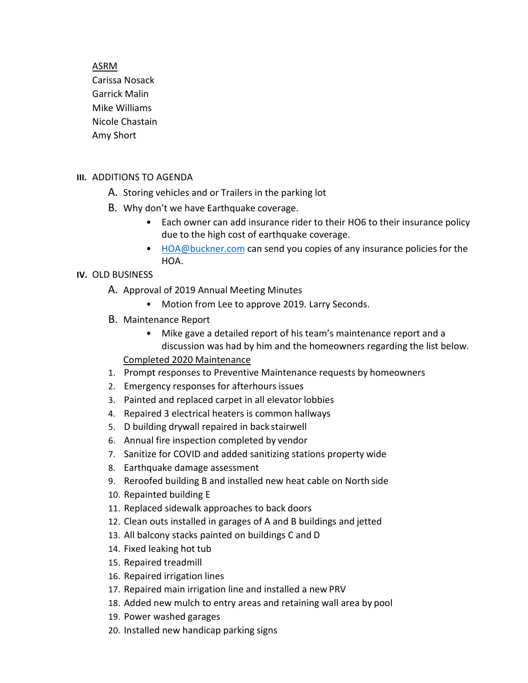# ASRM

Carissa Nosack Garrick Malin Mike Williams Nicole Chastain Amy Short

#### **III.** ADDITIONS TO AGENDA

- A. Storing vehicles and or Trailers in the parking lot
- B. Why don't we have Earthquake coverage.
	- Each owner can add insurance rider to their HO6 to their insurance policy due to the high cost of earthquake coverage.
	- [HOA@buckner.com](mailto:HOA@buckner.com) can send you copies of any insurance policies for the HOA.

# **IV.** OLD BUSINESS

- A. Approval of 2019 Annual Meeting Minutes
	- Motion from Lee to approve 2019. Larry Seconds.
- B. Maintenance Report
	- Mike gave a detailed report of his team's maintenance report and a discussion was had by him and the homeowners regarding the list below.

# Completed 2020 Maintenance

- 1. Prompt responses to Preventive Maintenance requests by homeowners
- 2. Emergency responses for afterhours issues
- 3. Painted and replaced carpet in all elevator lobbies
- 4. Repaired 3 electrical heaters is common hallways
- 5. D building drywall repaired in back stairwell
- 6. Annual fire inspection completed by vendor
- 7. Sanitize for COVID and added sanitizing stations property wide
- 8. Earthquake damage assessment
- 9. Reroofed building B and installed new heat cable on North side
- 10. Repainted building E
- 11. Replaced sidewalk approaches to back doors
- 12. Clean outs installed in garages of A and B buildings and jetted
- 13. All balcony stacks painted on buildings C and D
- 14. Fixed leaking hot tub
- 15. Repaired treadmill
- 16. Repaired irrigation lines
- 17. Repaired main irrigation line and installed a new PRV
- 18. Added new mulch to entry areas and retaining wall area by pool
- 19. Power washed garages
- 20. Installed new handicap parking signs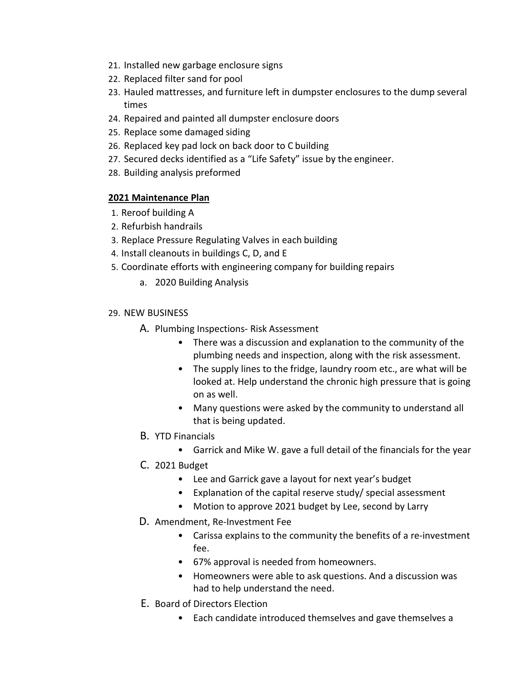- 21. Installed new garbage enclosure signs
- 22. Replaced filter sand for pool
- 23. Hauled mattresses, and furniture left in dumpster enclosures to the dump several times
- 24. Repaired and painted all dumpster enclosure doors
- 25. Replace some damaged siding
- 26. Replaced key pad lock on back door to C building
- 27. Secured decks identified as a "Life Safety" issue by the engineer.
- 28. Building analysis preformed

# **2021 Maintenance Plan**

- 1. Reroof building A
- 2. Refurbish handrails
- 3. Replace Pressure Regulating Valves in each building
- 4. Install cleanouts in buildings C, D, and E
- 5. Coordinate efforts with engineering company for building repairs
	- a. 2020 Building Analysis

# 29. NEW BUSINESS

- A. Plumbing Inspections- Risk Assessment
	- There was a discussion and explanation to the community of the plumbing needs and inspection, along with the risk assessment.
	- The supply lines to the fridge, laundry room etc., are what will be looked at. Help understand the chronic high pressure that is going on as well.
	- Many questions were asked by the community to understand all that is being updated.
- B. YTD Financials
	- Garrick and Mike W. gave a full detail of the financials for the year
- C. 2021 Budget
	- Lee and Garrick gave a layout for next year's budget
	- Explanation of the capital reserve study/ special assessment
	- Motion to approve 2021 budget by Lee, second by Larry
- D. Amendment, Re-Investment Fee
	- Carissa explains to the community the benefits of a re-investment fee.
	- 67% approval is needed from homeowners.
	- Homeowners were able to ask questions. And a discussion was had to help understand the need.
- E. Board of Directors Election
	- Each candidate introduced themselves and gave themselves a